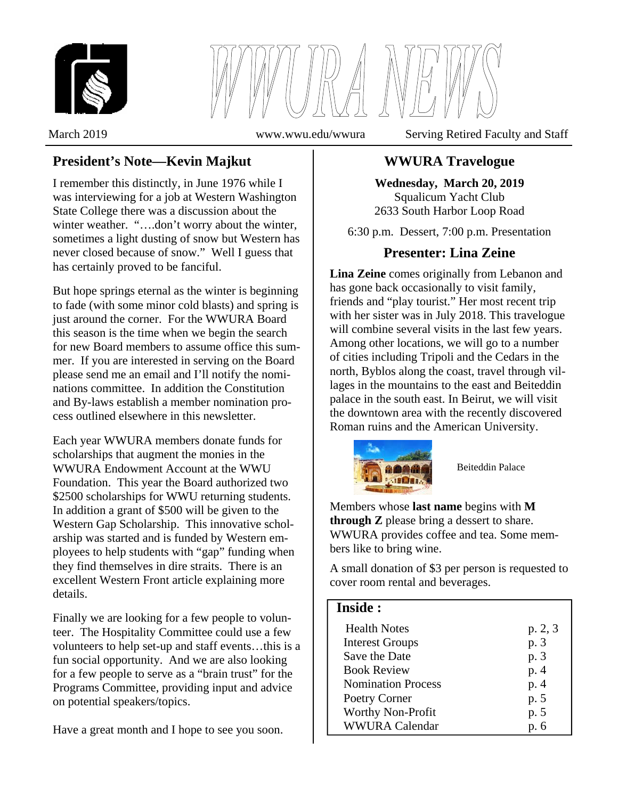



## **President's Note—Kevin Majkut**

I remember this distinctly, in June 1976 while I was interviewing for a job at Western Washington State College there was a discussion about the winter weather. "....don't worry about the winter, sometimes a light dusting of snow but Western has never closed because of snow." Well I guess that has certainly proved to be fanciful.

But hope springs eternal as the winter is beginning to fade (with some minor cold blasts) and spring is just around the corner. For the WWURA Board this season is the time when we begin the search for new Board members to assume office this summer. If you are interested in serving on the Board please send me an email and I'll notify the nominations committee. In addition the Constitution and By-laws establish a member nomination process outlined elsewhere in this newsletter.

Each year WWURA members donate funds for scholarships that augment the monies in the WWURA Endowment Account at the WWU Foundation. This year the Board authorized two \$2500 scholarships for WWU returning students. In addition a grant of \$500 will be given to the Western Gap Scholarship. This innovative scholarship was started and is funded by Western employees to help students with "gap" funding when they find themselves in dire straits. There is an excellent Western Front article explaining more details.

Finally we are looking for a few people to volunteer. The Hospitality Committee could use a few volunteers to help set-up and staff events…this is a fun social opportunity. And we are also looking for a few people to serve as a "brain trust" for the Programs Committee, providing input and advice on potential speakers/topics.

Have a great month and I hope to see you soon.

March 2019 www.wwu.edu/wwura Serving Retired Faculty and Staff

# **WWURA Travelogue**

**Wednesday, March 20, 2019**  Squalicum Yacht Club 2633 South Harbor Loop Road

6:30 p.m. Dessert, 7:00 p.m. Presentation

## **Presenter: Lina Zeine**

**Lina Zeine** comes originally from Lebanon and has gone back occasionally to visit family, friends and "play tourist." Her most recent trip with her sister was in July 2018. This travelogue will combine several visits in the last few years. Among other locations, we will go to a number of cities including Tripoli and the Cedars in the north, Byblos along the coast, travel through villages in the mountains to the east and Beiteddin palace in the south east. In Beirut, we will visit the downtown area with the recently discovered Roman ruins and the American University.



Beiteddin Palace

Members whose **last name** begins with **M through Z** please bring a dessert to share. WWURA provides coffee and tea. Some members like to bring wine.

A small donation of \$3 per person is requested to cover room rental and beverages.

#### **Inside :**

| <b>Health Notes</b>       | p. 2, 3 |
|---------------------------|---------|
| <b>Interest Groups</b>    | p. 3    |
| Save the Date             | p. 3    |
| <b>Book Review</b>        | p. 4    |
| <b>Nomination Process</b> | p. 4    |
| Poetry Corner             | p. 5    |
| <b>Worthy Non-Profit</b>  | p. 5    |
| <b>WWURA Calendar</b>     | p. 6    |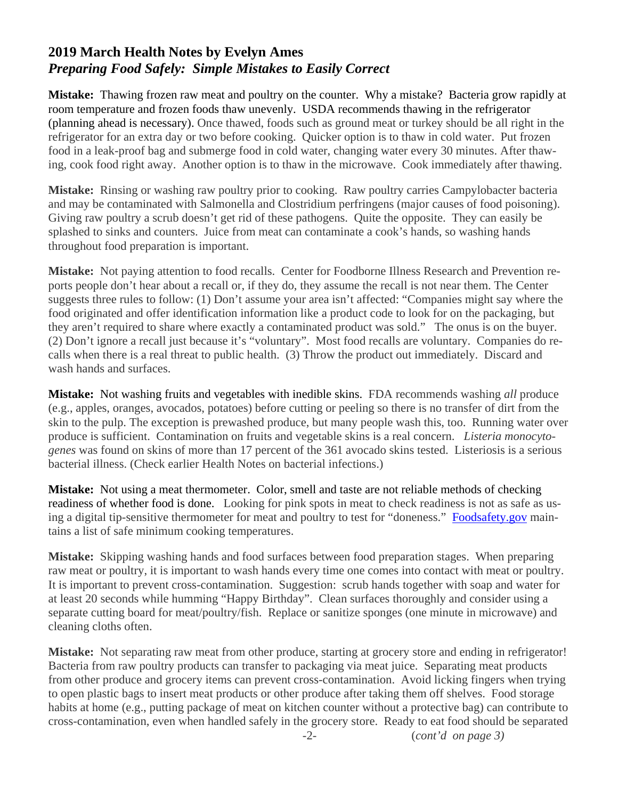# **2019 March Health Notes by Evelyn Ames**  *Preparing Food Safely: Simple Mistakes to Easily Correct*

**Mistake:** Thawing frozen raw meat and poultry on the counter. Why a mistake? Bacteria grow rapidly at room temperature and frozen foods thaw unevenly. USDA recommends thawing in the refrigerator (planning ahead is necessary). Once thawed, foods such as ground meat or turkey should be all right in the refrigerator for an extra day or two before cooking. Quicker option is to thaw in cold water. Put frozen food in a leak-proof bag and submerge food in cold water, changing water every 30 minutes. After thawing, cook food right away. Another option is to thaw in the microwave. Cook immediately after thawing.

**Mistake:** Rinsing or washing raw poultry prior to cooking. Raw poultry carries Campylobacter bacteria and may be contaminated with Salmonella and Clostridium perfringens (major causes of food poisoning). Giving raw poultry a scrub doesn't get rid of these pathogens. Quite the opposite. They can easily be splashed to sinks and counters. Juice from meat can contaminate a cook's hands, so washing hands throughout food preparation is important.

**Mistake:** Not paying attention to food recalls. Center for Foodborne Illness Research and Prevention reports people don't hear about a recall or, if they do, they assume the recall is not near them. The Center suggests three rules to follow: (1) Don't assume your area isn't affected: "Companies might say where the food originated and offer identification information like a product code to look for on the packaging, but they aren't required to share where exactly a contaminated product was sold." The onus is on the buyer. (2) Don't ignore a recall just because it's "voluntary". Most food recalls are voluntary. Companies do recalls when there is a real threat to public health. (3) Throw the product out immediately. Discard and wash hands and surfaces.

**Mistake:** Not washing fruits and vegetables with inedible skins. FDA recommends washing *all* produce (e.g., apples, oranges, avocados, potatoes) before cutting or peeling so there is no transfer of dirt from the skin to the pulp. The exception is prewashed produce, but many people wash this, too. Running water over produce is sufficient. Contamination on fruits and vegetable skins is a real concern. *Listeria monocytogenes* was found on skins of more than 17 percent of the 361 avocado skins tested. Listeriosis is a serious bacterial illness. (Check earlier Health Notes on bacterial infections.)

**Mistake:** Not using a meat thermometer. Color, smell and taste are not reliable methods of checking readiness of whether food is done. Looking for pink spots in meat to check readiness is not as safe as using a digital tip-sensitive thermometer for meat and poultry to test for "doneness." Foodsafety.gov maintains a list of safe minimum cooking temperatures.

**Mistake:** Skipping washing hands and food surfaces between food preparation stages. When preparing raw meat or poultry, it is important to wash hands every time one comes into contact with meat or poultry. It is important to prevent cross-contamination. Suggestion: scrub hands together with soap and water for at least 20 seconds while humming "Happy Birthday". Clean surfaces thoroughly and consider using a separate cutting board for meat/poultry/fish. Replace or sanitize sponges (one minute in microwave) and cleaning cloths often.

**Mistake:** Not separating raw meat from other produce, starting at grocery store and ending in refrigerator! Bacteria from raw poultry products can transfer to packaging via meat juice. Separating meat products from other produce and grocery items can prevent cross-contamination. Avoid licking fingers when trying to open plastic bags to insert meat products or other produce after taking them off shelves. Food storage habits at home (e.g., putting package of meat on kitchen counter without a protective bag) can contribute to cross-contamination, even when handled safely in the grocery store. Ready to eat food should be separated -2- (*cont'd on page 3)*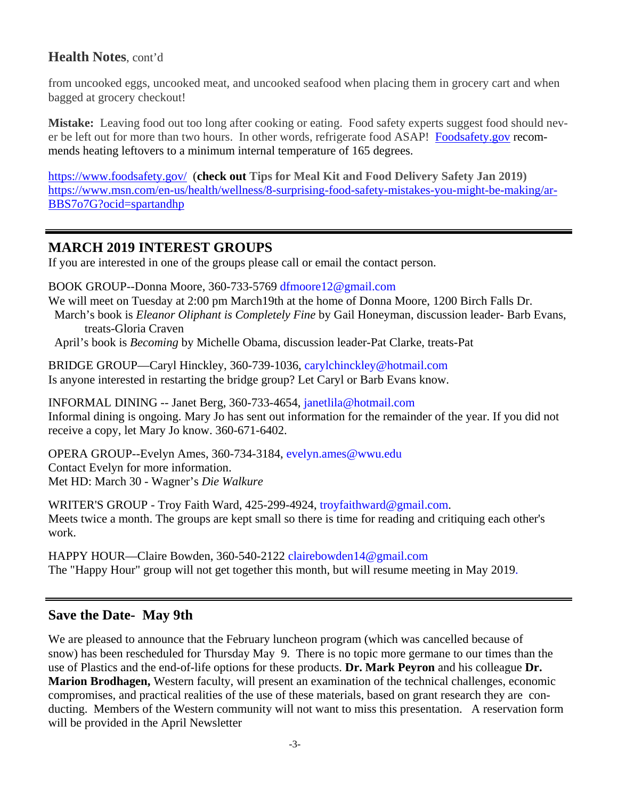### **Health Notes**, cont'd

from uncooked eggs, uncooked meat, and uncooked seafood when placing them in grocery cart and when bagged at grocery checkout!

**Mistake:** Leaving food out too long after cooking or eating. Food safety experts suggest food should never be left out for more than two hours. In other words, refrigerate food ASAP! Foodsafety.gov recommends heating leftovers to a minimum internal temperature of 165 degrees.

https://www.foodsafety.gov/ (**check out Tips for Meal Kit and Food Delivery Safety Jan 2019)** https://www.msn.com/en-us/health/wellness/8-surprising-food-safety-mistakes-you-might-be-making/ar-BBS7o7G?ocid=spartandhp

### **MARCH 2019 INTEREST GROUPS**

If you are interested in one of the groups please call or email the contact person.

BOOK GROUP--Donna Moore, 360-733-5769 dfmoore12@gmail.com

We will meet on Tuesday at 2:00 pm March19th at the home of Donna Moore, 1200 Birch Falls Dr.

 March's book is *Eleanor Oliphant is Completely Fine* by Gail Honeyman, discussion leader- Barb Evans, treats-Gloria Craven

April's book is *Becoming* by Michelle Obama, discussion leader-Pat Clarke, treats-Pat

BRIDGE GROUP—Caryl Hinckley, 360-739-1036, carylchinckley@hotmail.com Is anyone interested in restarting the bridge group? Let Caryl or Barb Evans know.

INFORMAL DINING -- Janet Berg, 360-733-4654, janetlila@hotmail.com Informal dining is ongoing. Mary Jo has sent out information for the remainder of the year. If you did not receive a copy, let Mary Jo know. 360-671-6402.

OPERA GROUP--Evelyn Ames, 360-734-3184, evelyn.ames@wwu.edu Contact Evelyn for more information. Met HD: March 30 - Wagner's *Die Walkure* 

WRITER'S GROUP - Troy Faith Ward, 425-299-4924, troyfaithward@gmail.com. Meets twice a month. The groups are kept small so there is time for reading and critiquing each other's work.

HAPPY HOUR—Claire Bowden, 360-540-2122 clairebowden14@gmail.com The "Happy Hour" group will not get together this month, but will resume meeting in May 2019.

## **Save the Date- May 9th**

We are pleased to announce that the February luncheon program (which was cancelled because of snow) has been rescheduled for Thursday May 9. There is no topic more germane to our times than the use of Plastics and the end-of-life options for these products. **Dr. Mark Peyron** and his colleague **Dr. Marion Brodhagen,** Western faculty, will present an examination of the technical challenges, economic compromises, and practical realities of the use of these materials, based on grant research they are conducting. Members of the Western community will not want to miss this presentation. A reservation form will be provided in the April Newsletter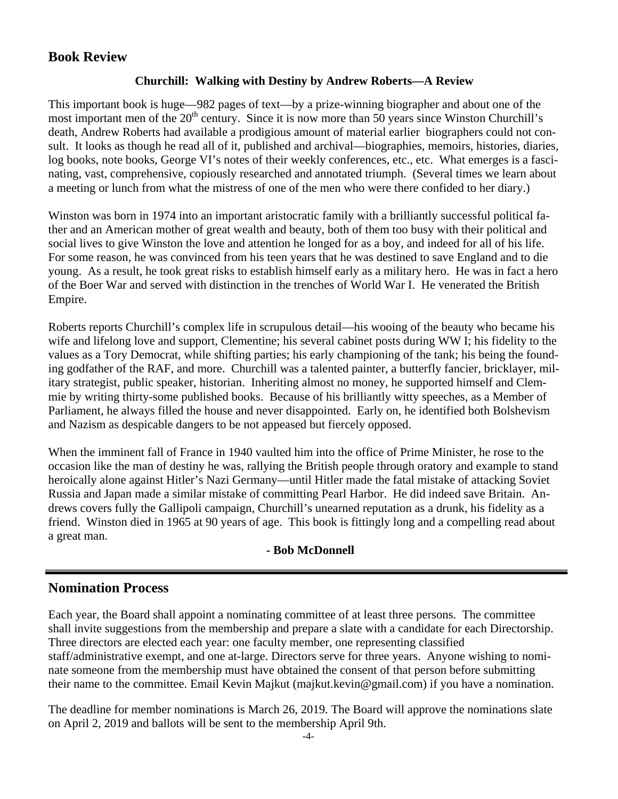## **Book Review**

#### **Churchill: Walking with Destiny by Andrew Roberts—A Review**

This important book is huge—982 pages of text—by a prize-winning biographer and about one of the most important men of the  $20<sup>th</sup>$  century. Since it is now more than 50 years since Winston Churchill's death, Andrew Roberts had available a prodigious amount of material earlier biographers could not consult. It looks as though he read all of it, published and archival—biographies, memoirs, histories, diaries, log books, note books, George VI's notes of their weekly conferences, etc., etc. What emerges is a fascinating, vast, comprehensive, copiously researched and annotated triumph. (Several times we learn about a meeting or lunch from what the mistress of one of the men who were there confided to her diary.)

Winston was born in 1974 into an important aristocratic family with a brilliantly successful political father and an American mother of great wealth and beauty, both of them too busy with their political and social lives to give Winston the love and attention he longed for as a boy, and indeed for all of his life. For some reason, he was convinced from his teen years that he was destined to save England and to die young. As a result, he took great risks to establish himself early as a military hero. He was in fact a hero of the Boer War and served with distinction in the trenches of World War I. He venerated the British Empire.

Roberts reports Churchill's complex life in scrupulous detail—his wooing of the beauty who became his wife and lifelong love and support, Clementine; his several cabinet posts during WW I; his fidelity to the values as a Tory Democrat, while shifting parties; his early championing of the tank; his being the founding godfather of the RAF, and more. Churchill was a talented painter, a butterfly fancier, bricklayer, military strategist, public speaker, historian. Inheriting almost no money, he supported himself and Clemmie by writing thirty-some published books. Because of his brilliantly witty speeches, as a Member of Parliament, he always filled the house and never disappointed. Early on, he identified both Bolshevism and Nazism as despicable dangers to be not appeased but fiercely opposed.

When the imminent fall of France in 1940 vaulted him into the office of Prime Minister, he rose to the occasion like the man of destiny he was, rallying the British people through oratory and example to stand heroically alone against Hitler's Nazi Germany—until Hitler made the fatal mistake of attacking Soviet Russia and Japan made a similar mistake of committing Pearl Harbor. He did indeed save Britain. Andrews covers fully the Gallipoli campaign, Churchill's unearned reputation as a drunk, his fidelity as a friend. Winston died in 1965 at 90 years of age. This book is fittingly long and a compelling read about a great man.

#### **- Bob McDonnell**

### **Nomination Process**

Each year, the Board shall appoint a nominating committee of at least three persons. The committee shall invite suggestions from the membership and prepare a slate with a candidate for each Directorship. Three directors are elected each year: one faculty member, one representing classified staff/administrative exempt, and one at-large. Directors serve for three years. Anyone wishing to nominate someone from the membership must have obtained the consent of that person before submitting their name to the committee. Email Kevin Majkut (majkut.kevin@gmail.com) if you have a nomination.

The deadline for member nominations is March 26, 2019. The Board will approve the nominations slate on April 2, 2019 and ballots will be sent to the membership April 9th. -4-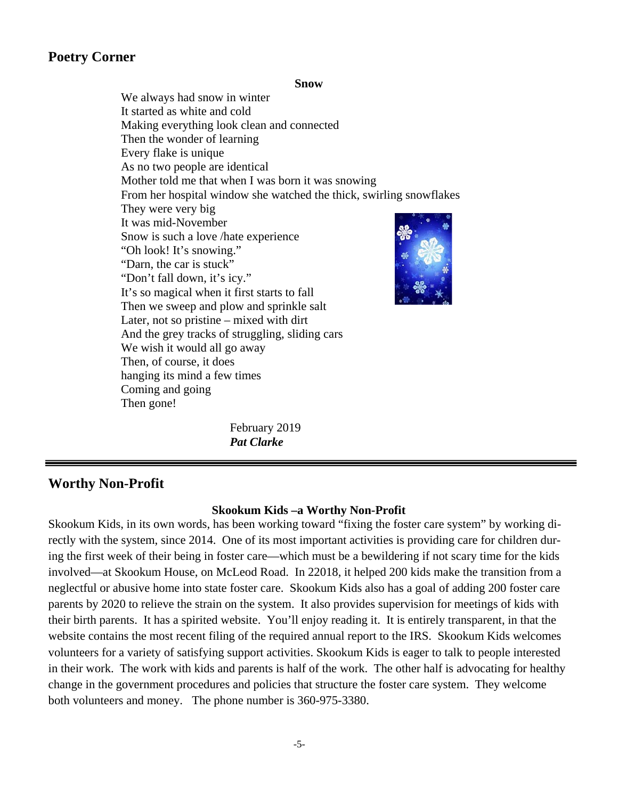### **Poetry Corner**

**Snow** 

 We always had snow in winter It started as white and cold Making everything look clean and connected Then the wonder of learning Every flake is unique As no two people are identical Mother told me that when I was born it was snowing From her hospital window she watched the thick, swirling snowflakes They were very big It was mid-November Snow is such a love /hate experience "Oh look! It's snowing." "Darn, the car is stuck" "Don't fall down, it's icy." It's so magical when it first starts to fall Then we sweep and plow and sprinkle salt Later, not so pristine – mixed with dirt And the grey tracks of struggling, sliding cars We wish it would all go away Then, of course, it does hanging its mind a few times Coming and going Then gone!

> February 2019 *Pat Clarke*

#### **Worthy Non-Profit**

#### **Skookum Kids –a Worthy Non-Profit**

Skookum Kids, in its own words, has been working toward "fixing the foster care system" by working directly with the system, since 2014. One of its most important activities is providing care for children during the first week of their being in foster care—which must be a bewildering if not scary time for the kids involved—at Skookum House, on McLeod Road. In 22018, it helped 200 kids make the transition from a neglectful or abusive home into state foster care. Skookum Kids also has a goal of adding 200 foster care parents by 2020 to relieve the strain on the system. It also provides supervision for meetings of kids with their birth parents. It has a spirited website. You'll enjoy reading it. It is entirely transparent, in that the website contains the most recent filing of the required annual report to the IRS. Skookum Kids welcomes volunteers for a variety of satisfying support activities. Skookum Kids is eager to talk to people interested in their work. The work with kids and parents is half of the work. The other half is advocating for healthy change in the government procedures and policies that structure the foster care system. They welcome both volunteers and money. The phone number is 360-975-3380.